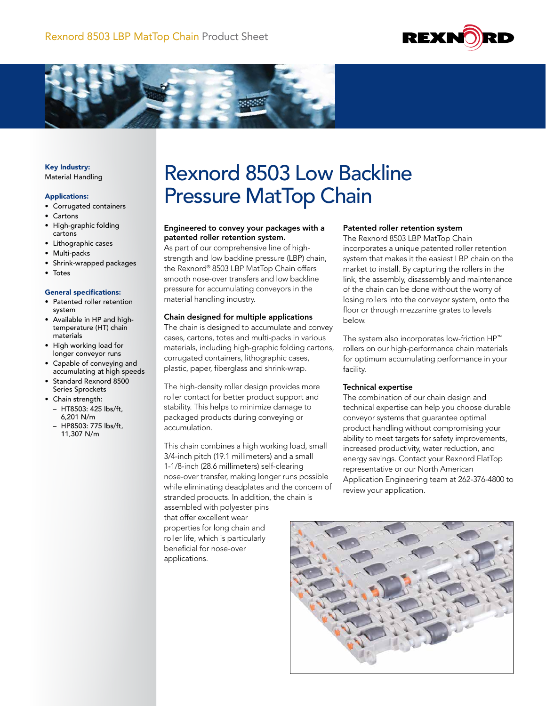



Key Industry: Material Handling

#### Applications:

- Corrugated containers
- Cartons
- High-graphic folding cartons
- Lithographic cases
- Multi-packs
- Shrink-wrapped packages
- Totes

#### General specifications:

- Patented roller retention system
- Available in HP and hightemperature (HT) chain materials
- High working load for longer conveyor runs
- Capable of conveying and accumulating at high speeds
- Standard Rexnord 8500 Series Sprockets
- Chain strength: – HT8503: 425 lbs/ft, 6,201 N/m
	- HP8503: 775 lbs/ft, 11,307 N/m

# Rexnord 8503 Low Backline Pressure MatTop Chain

## Engineered to convey your packages with a patented roller retention system.

As part of our comprehensive line of highstrength and low backline pressure (LBP) chain, the Rexnord® 8503 LBP MatTop Chain offers smooth nose-over transfers and low backline pressure for accumulating conveyors in the material handling industry.

#### Chain designed for multiple applications

The chain is designed to accumulate and convey cases, cartons, totes and multi-packs in various materials, including high-graphic folding cartons, corrugated containers, lithographic cases, plastic, paper, fiberglass and shrink-wrap.

The high-density roller design provides more roller contact for better product support and stability. This helps to minimize damage to packaged products during conveying or accumulation.

This chain combines a high working load, small 3/4-inch pitch (19.1 millimeters) and a small 1-1/8-inch (28.6 millimeters) self-clearing nose-over transfer, making longer runs possible while eliminating deadplates and the concern of stranded products. In addition, the chain is assembled with polyester pins

that offer excellent wear properties for long chain and roller life, which is particularly beneficial for nose-over applications.

#### Patented roller retention system

The Rexnord 8503 LBP MatTop Chain incorporates a unique patented roller retention system that makes it the easiest LBP chain on the market to install. By capturing the rollers in the link, the assembly, disassembly and maintenance of the chain can be done without the worry of losing rollers into the conveyor system, onto the floor or through mezzanine grates to levels below.

The system also incorporates low-friction HP™ rollers on our high-performance chain materials for optimum accumulating performance in your facility.

### Technical expertise

The combination of our chain design and technical expertise can help you choose durable conveyor systems that guarantee optimal product handling without compromising your ability to meet targets for safety improvements, increased productivity, water reduction, and energy savings. Contact your Rexnord FlatTop representative or our North American Application Engineering team at 262-376-4800 to review your application.